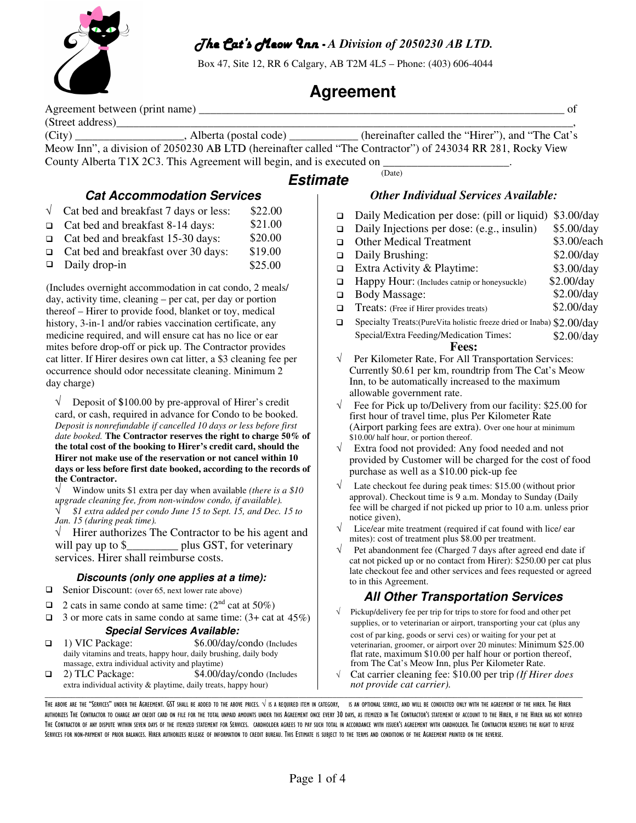

## The Cat's Meow Inn - *A Division of 2050230 AB LTD.*

Box 47, Site 12, RR 6 Calgary, AB T2M 4L5 – Phone: (403) 606-4044

# **Agreement**

Agreement between (print name)  $\qquad \qquad$  of

(Street address)<br>
(City) \_\_\_\_\_\_\_\_\_\_\_\_\_\_\_\_\_\_\_\_\_\_\_, Alberta (postal code) (City) \_\_\_\_\_\_\_\_\_\_\_\_\_\_\_\_\_\_\_, Alberta (postal code) \_\_\_\_\_\_\_\_\_\_\_\_ (hereinafter called the "Hirer"), and "The Cat's Meow Inn", a division of 2050230 AB LTD (hereinafter called "The Contractor") of 243034 RR 281, Rocky View County Alberta T1X 2C3. This Agreement will begin, and is executed on  $\frac{1}{\sqrt{2\pi}}$ 

## **Estimate**

## **Cat Accommodation Services**

- $\sqrt{\phantom{0}}$  Cat bed and breakfast 7 days or less: \$22.00
- Cat bed and breakfast 8-14 days: \$21.00
- Cat bed and breakfast 15-30 days: \$20.00
- □ Cat bed and breakfast over 30 days: \$19.00
- Daily drop-in \$25.00

(Includes overnight accommodation in cat condo, 2 meals/ day, activity time, cleaning – per cat, per day or portion thereof – Hirer to provide food, blanket or toy, medical history, 3-in-1 and/or rabies vaccination certificate, any medicine required, and will ensure cat has no lice or ear mites before drop-off or pick up. The Contractor provides cat litter. If Hirer desires own cat litter, a \$3 cleaning fee per occurrence should odor necessitate cleaning. Minimum 2 day charge)

 $\sqrt{\phantom{a}}$  Deposit of \$100.00 by pre-approval of Hirer's credit card, or cash, required in advance for Condo to be booked. *Deposit is nonrefundable if cancelled 10 days or less before first date booked.* **The Contractor reserves the right to charge** 50**% of the total cost of the booking to Hirer's credit card, should the Hirer not make use of the reservation or not cancel within 10 days or less before first date booked, according to the records of the Contractor.**

√ Window units \$1 extra per day when available *(there is a \$10 upgrade cleaning fee, from non-window condo, if available).* √ *\$1 extra added per condo June <sup>15</sup> to Sept. 15, and Dec. 15 to Jan. 15 (during peak time).*

 $\sqrt{\phantom{a}}$  Hirer authorizes The Contractor to be his agent and will pay up to \$\_\_\_\_\_\_\_\_\_\_\_\_ plus GST, for veterinary services. Hirer shall reimburse costs.

## **Discounts (only one applies at a time):**

- $\Box$  Senior Discount: (over 65, next lower rate above)
- 2 cats in same condo at same time:  $(2<sup>nd</sup> cat at 50%)$
- $\Box$  3 or more cats in same condo at same time: (3+ cat at 45%)

## **Special Services Available:**

- 1) VIC Package: \$6.00/day/condo (Includes daily vitamins and treats, happy hour, daily brushing, daily body massage, extra individual activity and playtime)
- 2) TLC Package: \$4.00/day/condo (Includes extra individual activity & playtime, daily treats, happy hour)  $\Box \Box \Box \Box \Box \Box \Box \Box \Box$  . The set of the set of the set of the set of the set of the set of the set of the set of the set of the set of the set of the set of the set of the set of the set of the set of the set of the set of

## *Other Individual Services Available:*

- Daily Medication per dose: (pill or liquid) \$3.00/day
- □ Daily Injections per dose: (e.g., insulin) \$5.00/day
- □ Other Medical Treatment \$3.00/each
- Daily Brushing: \$2.00/day
- □ Extra Activity & Playtime: \$3.00/day
- $\Box$  Happy Hour: (Includes catnip or honeysuckle) \$2.00/day
- Body Massage: \$2.00/day
- □ Treats: (Free if Hirer provides treats) \$2.00/day
- $\Box$ Specialty Treats:(PureVita holistic freeze dried or Inaba) \$2.00/day Special/Extra Feeding/Medication Times: \$2.00/day

## **Fees:**

- √ Per Kilometer Rate, For All Transportation Services: Currently \$0.61 per km, roundtrip from The Cat's Meow Inn, to be automatically increased to the maximum allowable government rate.
- $\sqrt{\phantom{a}}$  Fee for Pick up to/Delivery from our facility: \$25.00 for first hour of travel time, plus Per Kilometer Rate (Airport parking fees are extra). Over one hour at minimum \$10.00/ half hour, or portion thereof.
- √ Extra food not provided: Any food needed and not provided by Customer will be charged for the cost of food purchase as well as a \$10.00 pick-up fee
- Late checkout fee during peak times: \$15.00 (without prior approval). Checkout time is 9 a.m. Monday to Sunday (Daily fee will be charged if not picked up prior to 10 a.m. unless prior notice given),
- Lice/ear mite treatment (required if cat found with lice/ ear mites): cost of treatment plus \$8.00 per treatment.
- Pet abandonment fee (Charged 7 days after agreed end date if cat not picked up or no contact from Hirer): \$250.00 per cat plus late checkout fee and other services and fees requested or agreed to in this Agreement.

## **All Other Transportation Services**

- Pickup/delivery fee per trip for trips to store for food and other pet supplies, or to veterinarian or airport, transporting your cat (plus any
	- cost of par king, goods or servi ces) or waiting for your pet at veterinarian, groomer, or airport over 20 minutes: Minimum \$25.00 flat rate, maximum \$10.00 per half hour or portion thereof, from The Cat's Meow Inn, plus Per Kilometer Rate.
- √ Cat carrier cleaning fee: \$10.00 per trip *(If Hirer does not provide cat carrier).*

THE ABOVE ARE THE "SERVICES" UNDER THE AGREEMENT. GST SHALL BE ADDED TO THE ABOVE PRICES. √ IS A REQUIRED ITEM IN CATEGORY, IS AN OPTIONAL SERVICE, AND WILL BE CONDUCTED ONLY WITH THE AGREEMENT OF THE HIRER. THE HIRER AUTHORIZES THE CONTRACTOR TO CHARGE ANY CREDIT CARD ON FUE FOR THE TOTAL UNPAID AMOUNTS UNDER THIS AGREEMENT ONCE FVERY 30 DAYS AS ITEMIZED IN THE CONTRACTOR'S STATEMENT OF ACCOUNT TO THE HIRER IF THE HIRER HAS NOT NOTIFIE THE CONTRACTOR OF ANY DISPUTE WITHIN SEVEN DAYS OF THE ITEMIZED STATEMENT FOR SERVICES. CARDHOLDER AGREES TO PAY SUCH TOTAL IN ACCORDANCE WITH ISSUER'S AGREEMENT WITH CARDHOLDER. THE CONTRACTOR RESERVES THE RIGHT TO REFUSE SERVICES FOR NON-PAYMENT OF PRIOR BALANCES. HIRER AUTHORIZES RELEASE OF INFORMATION TO CREDIT BUREAU. THIS ESTIMATE IS SUBJECT TO THE TERMS AND CONDITIONS OF THE AGREEMENT PRINTED ON THE REVERSE.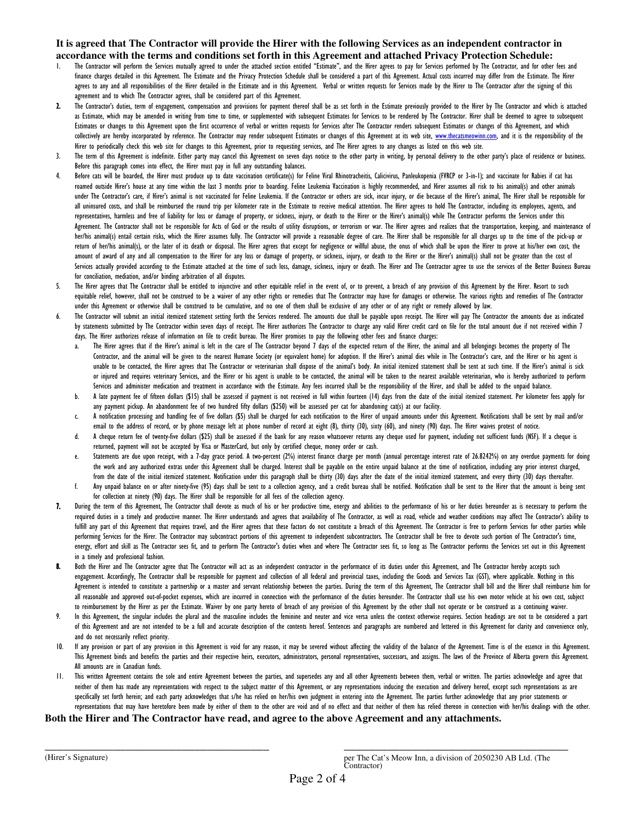#### **It is agreed that The Contractor will provide the Hirer with the following Services as an independent contractor in accordance with the terms and conditions set forth in this Agreement and attached Privacy Protection Schedule:**

- The Contractor will perform the Services mutually agreed to under the attached section entitled "Estimate", and the Hirer agrees to pay for Services performed by The Contractor, and for other fees and finance charges detailed in this Agreement. The Estimate and the Privacy Protection Schedule shall be considered a part of this Agreement. Actual costs incurred may differ from the Estimate. The Hirer agrees to any and all responsibilities of the Hirer detailed in the Estimate and in this Agreement. Verbal or written requests for Services made by the Hirer to The Contractor after the signing of this agreement and to which The Contractor agrees, shall be considered part of this Agreement.
- 2. The Contractor's duties, term of engagement, compensation and provisions for payment thereof shall be as set forth in the Estimate previously provided to the Hirer by The Contractor and which is attached as Estimate, which may be amended in writing from time to time, or supplemented with subsequent Estimates for Services to be rendered by The Contractor. Hirer shall be deemed to agree to subsequent Estimates or changes to this Agreement upon the first occurrence of verbal or written requests for Services after The Contractor renders subsequent Estimates or changes of this Agreement, and which collectively are hereby incorporated by reference. The Contractor may render subsequent Estimates or changes of this Agreement at its web site, www.thecatsmeowinn.com, and it is the responsibility of the Hirer to periodically check this web site for changes to this Agreement, prior to requesting services, and The Hirer agrees to any changes as listed on this web site.
- 3. The term of this Agreement is indefinite. Either party may cancel this Agreement on seven days notice to the other party in writing, by personal delivery to the other party's place of residence or business. Before this paragraph comes into effect, the Hirer must pay in full any outstanding balances.
- 4. Before cats will be boarded, the Hirer must produce up to date vaccination certificate(s) for Feline Viral Rhinotracheitis, Calicivirus, Panleukopenia (FVRCP or 3-in-1); and vaccinate for Rabies if cat has roamed outside Hirer's house at any time within the last 3 months prior to boarding. Feline Leukemia Vaccination is highly recommended, and Hirer assumes all risk to his animal(s) and other animals under The Contractor's care, if Hirer's animal is not vaccinated for Feline Leukemia. If the Contractor or others are sick, incur injury, or die because of the Hirer's animal, The Hirer shall be responsible for all uninsured costs, and shall be reimbursed the round trip per kilometer rate in the Estimate to receive medical attention. The Hirer agrees to hold The Contractor, including its employees, agents, and representatives, harmless and free of liability for loss or damage of property, or sickness, injury, or death to the Hirer or the Hirer's animal(s) while The Contractor performs the Services under this Agreement. The Contractor shall not be responsible for Acts of God or the results of utility disruptions, or terrorism or war. The Hirer agrees and realizes that the transportation, keeping, and maintenance of her/his animal(s) entail certain risks, which the Hirer assumes fully. The Contractor will provide a reasonable degree of care. The Hirer shall be responsible for all charges up to the time of the pick-up or return of her/his animal(s), or the later of its death or disposal. The Hirer agrees that except for negligence or willful abuse, the onus of which shall be upon the Hirer to prove at his/her own cost, the amount of award of any and all compensation to the Hirer for any loss or damage of property, or sickness, injury, or death to the Hirer or the Hirer's animal(s) shall not be greater than the cost of Services actually provided according to the Estimate attached at the time of such loss, damage, sickness, injury or death. The Hirer and The Contractor agree to use the services of the Better Business Bureau for conciliation, mediation, and/or binding arbitration of all disputes.
- 5. The Hirer agrees that The Contractor shall be entitled to injunctive and other equitable relief in the event of, or to prevent, a breach of any provision of this Agreement by the Hirer. Resort to such equitable relief, however, shall not be construed to be a waiver of any other rights or remedies that The Contractor may have for damages or otherwise. The various rights and remedies of The Contractor under this Agreement or otherwise shall be construed to be cumulative, and no one of them shall be exclusive of any other or of any right or remedy allowed by law.
- The Contractor will submit an initial itemized statement setting forth the Services rendered. The amounts due shall be payable upon receipt. The Hirer will pay The Contractor the amounts due as indicated by statements submitted by The Contractor within seven days of receipt. The Hirer authorizes The Contractor to charge any valid Hirer credit card on file for the total amount due if not received within 7 days. The Hirer authorizes release of information on file to credit bureau. The Hirer promises to pay the following other fees and finance charges:
	- a. The Hirer agrees that if the Hirer's animal is left in the care of The Contractor beyond 7 days of the expected return of the Hirer, the animal and all belongings becomes the property of The Contractor, and the animal will be given to the nearest Humane Society (or equivalent home) for adoption. If the Hirer's animal dies while in The Contractor's care, and the Hirer or his agent is unable to be contacted, the Hirer agrees that The Contractor or veterinarian shall dispose of the animal's body. An initial itemized statement shall be sent at such time. If the Hirer's animal is sick or injured and requires veterinary Services, and the Hirer or his agent is unable to be contacted, the animal will be taken to the nearest available veterinarian, who is hereby authorized to perform Services and administer medication and treatment in accordance with the Estimate. Any fees incurred shall be the responsibility of the Hirer, and shall be added to the unpaid balance.
	- b. A late payment fee of fifteen dollars (\$15) shall be assessed if payment is not received in full within fourteen (14) days from the date of the initial itemized statement. Per kilometer fees apply for any payment pickup. An abandonment fee of two hundred fifty dollars (\$250) will be assessed per cat for abandoning cat(s) at our facility.
	- c. A notification processing and handling fee of five dollars (\$5) shall be charged for each notification to the Hirer of unpaid amounts under this Agreement. Notifications shall be sent by mail and/or email to the address of record, or by phone message left at phone number of record at eight (8), thirty (30), sixty (60), and ninety (90) days. The Hirer waives protest of notice.
	- d. A cheque return fee of twenty-five dollars (\$25) shall be assessed if the bank for any reason whatsoever returns any cheque used for payment, including not sufficient funds (NSF). If a cheque is returned, payment will not be accepted by Visa or MasterCard, but only by certified cheque, money order or cash.
	- e. Statements are due upon receipt, with a 7-day grace period. A two-percent (2%) interest finance charge per month (annual percentage interest rate of 26.8242%) on any overdue payments for doing the work and any authorized extras under this Agreement shall be charged. Interest shall be payable on the entire unpaid balance at the time of notification, including any prior interest charged, from the date of the initial itemized statement. Notification under this paragraph shall be thirty (30) days after the date of the initial itemized statement, and every thirty (30) days thereafter.
	- f. Any unpaid balance on or after ninety-five (95) days shall be sent to a collection agency, and a credit bureau shall be notified. Notification shall be sent to the Hirer that the amount is being sent for collection at ninety (90) days. The Hirer shall be responsible for all fees of the collection agency.
- 7. During the term of this Agreement, The Contractor shall devote as much of his or her productive time, energy and abilities to the performance of his or her duties hereunder as is necessary to perform the required duties in a timely and productive manner. The Hirer understands and agrees that availability of The Contractor, as well as road, vehicle and weather conditions may affect The Contractor's ability to fulfill any part of this Agreement that requires travel, and the Hirer agrees that these factors do not constitute a breach of this Agreement. The Contractor is free to perform Services for other parties while performing Services for the Hirer. The Contractor may subcontract portions of this agreement to independent subcontractors. The Contractor shall be free to devote such portion of The Contractor's time, energy, effort and skill as The Contractor sees fit, and to perform The Contractor's duties when and where The Contractor sees fit, so long as The Contractor performs the Services set out in this Agreement in a timely and professional fashion.
- Both the Hirer and The Contractor agree that The Contractor will act as an independent contractor in the performance of its duties under this Agreement, and The Contractor hereby accepts such engagement. Accordingly, The Contractor shall be responsible for payment and collection of all federal and provincial taxes, including the Goods and Services Tax (GST), where applicable. Nothing in this Agreement is intended to constitute a partnership or a master and servant relationship between the parties. During the term of this Agreement, The Contractor shall bill and the Hirer shall reimburse him for all reasonable and approved out-of-pocket expenses, which are incurred in connection with the performance of the duties hereunder. The Contractor shall use his own motor vehicle at his own cost, subject to reimbursement by the Hirer as per the Estimate. Waiver by one party hereto of breach of any provision of this Agreement by the other shall not operate or be construed as a continuing waiver.
- 9. In this Agreement, the singular includes the plural and the masculine includes the feminine and neuter and vice versa unless the context otherwise requires. Section headings are not to be considered a part of this Agreement and are not intended to be a full and accurate description of the contents hereof. Sentences and paragraphs are numbered and lettered in this Agreement for clarity and convenience only, and do not necessarily reflect priority.
- 10. If any provision or part of any provision in this Agreement is void for any reason, it may be severed without affecting the validity of the balance of the Agreement. Time is of the essence in this Agreement. This Agreement binds and benefits the parties and their respective heirs, executors, administrators, personal representatives, successors, and assigns. The laws of the Province of Alberta govern this Agreement. All amounts are in Canadian funds.
- 11. This written Agreement contains the sole and entire Agreement between the parties, and supersedes any and all other Agreements between them, verbal or written. The parties acknowledge and agree that neither of them has made any representations with respect to the subject matter of this Agreement, or any representations inducing the execution and delivery hereof, except such representations as are specifically set forth herein; and each party acknowledges that s/he has relied on her/his own judgment in entering into the Agreement. The parties further acknowledge that any prior statements or representations that may have heretofore been made by either of them to the other are void and of no effect and that neither of them has relied thereon in connection with her/his dealings with the other.

#### **Both the Hirer and The Contractor have read, and agree to the above Agreement and any attachments.**

\_\_\_\_\_\_\_\_\_\_\_\_\_\_\_\_\_\_\_\_\_\_\_\_\_\_\_\_\_\_\_\_\_\_\_\_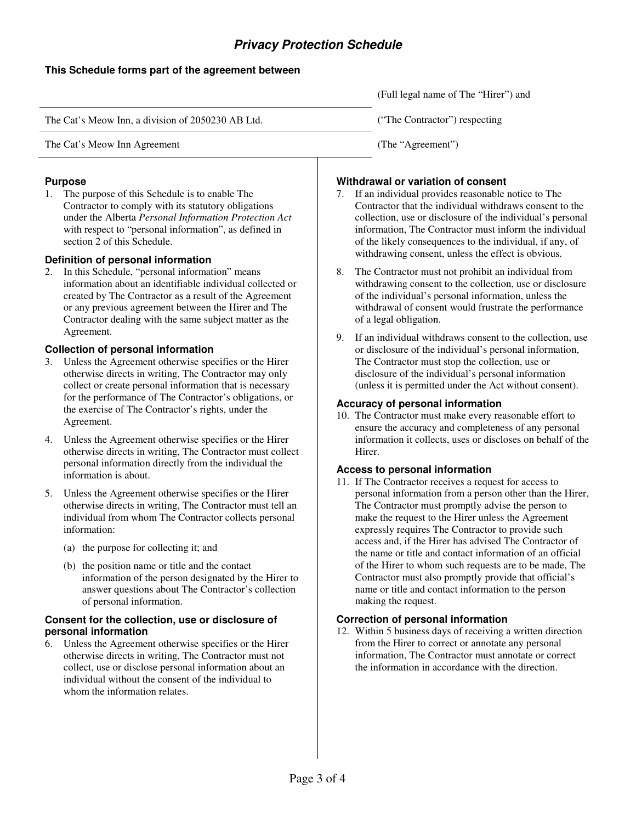## **Privacy Protection Schedule**

## **This Schedule forms part of the agreement between**

(Full legal name of The "Hirer") and The Cat's Meow Inn, a division of 2050230 AB Ltd. ("The Contractor") respecting The Cat's Meow Inn Agreement (The "Agreement") (The "Agreement")

## **Purpose**

1. The purpose of this Schedule is to enable The Contractor to comply with its statutory obligations under the Alberta *Personal Information Protection Act* with respect to "personal information", as defined in section 2 of this Schedule.

## **Definition of personal information**

2. In this Schedule, "personal information" means information about an identifiable individual collected or created by The Contractor as a result of the Agreement or any previous agreement between the Hirer and The Contractor dealing with the same subject matter as the Agreement.

## **Collection of personal information**

- 3. Unless the Agreement otherwise specifies or the Hirer otherwise directs in writing, The Contractor may only collect or create personal information that is necessary for the performance of The Contractor's obligations, or the exercise of The Contractor's rights, under the Agreement.
- 4. Unless the Agreement otherwise specifies or the Hirer otherwise directs in writing, The Contractor must collect personal information directly from the individual the information is about.
- 5. Unless the Agreement otherwise specifies or the Hirer otherwise directs in writing, The Contractor must tell an individual from whom The Contractor collects personal information:
	- (a) the purpose for collecting it; and
	- (b) the position name or title and the contact information of the person designated by the Hirer to answer questions about The Contractor's collection of personal information.

#### **Consent for the collection, use or disclosure of personal information**

6. Unless the Agreement otherwise specifies or the Hirer otherwise directs in writing, The Contractor must not collect, use or disclose personal information about an individual without the consent of the individual to whom the information relates.

## **Withdrawal or variation of consent**

- 7. If an individual provides reasonable notice to The Contractor that the individual withdraws consent to the collection, use or disclosure of the individual's personal information, The Contractor must inform the individual of the likely consequences to the individual, if any, of withdrawing consent, unless the effect is obvious.
- 8. The Contractor must not prohibit an individual from withdrawing consent to the collection, use or disclosure of the individual's personal information, unless the withdrawal of consent would frustrate the performance of a legal obligation.
- 9. If an individual withdraws consent to the collection, use or disclosure of the individual's personal information, The Contractor must stop the collection, use or disclosure of the individual's personal information (unless it is permitted under the Act without consent).

## **Accuracy of personal information**

10. The Contractor must make every reasonable effort to ensure the accuracy and completeness of any personal information it collects, uses or discloses on behalf of the Hirer.

## **Access to personal information**

11. If The Contractor receives a request for access to personal information from a person other than the Hirer, The Contractor must promptly advise the person to make the request to the Hirer unless the Agreement expressly requires The Contractor to provide such access and, if the Hirer has advised The Contractor of the name or title and contact information of an official of the Hirer to whom such requests are to be made, The Contractor must also promptly provide that official's name or title and contact information to the person making the request.

## **Correction of personal information**

12. Within 5 business days of receiving a written direction from the Hirer to correct or annotate any personal information, The Contractor must annotate or correct the information in accordance with the direction.